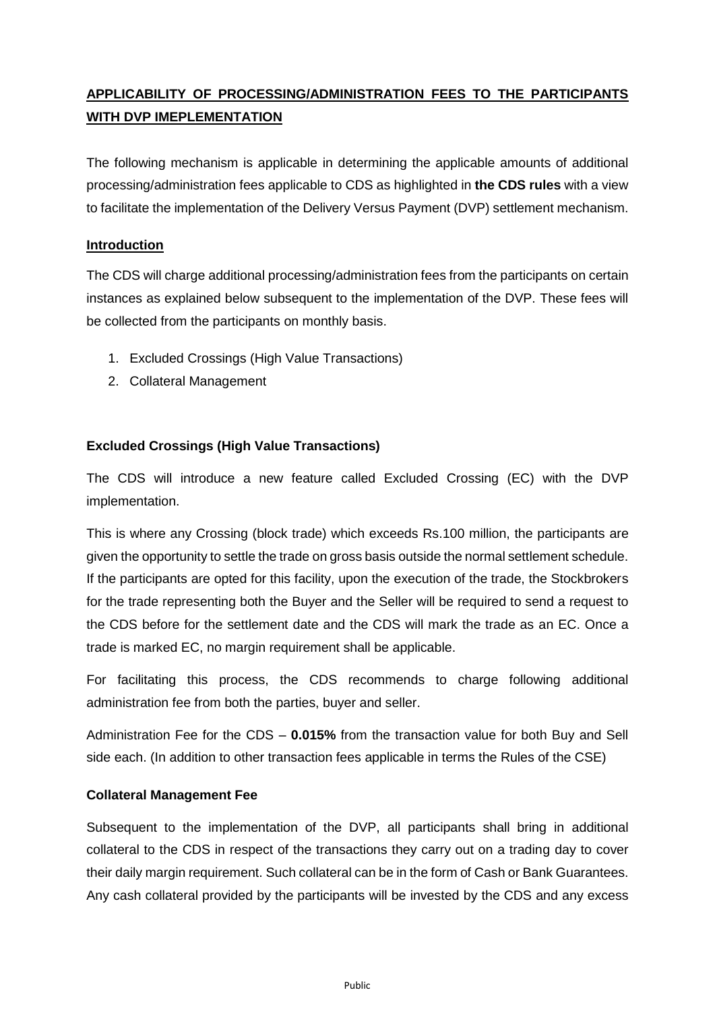## **APPLICABILITY OF PROCESSING/ADMINISTRATION FEES TO THE PARTICIPANTS WITH DVP IMEPLEMENTATION**

The following mechanism is applicable in determining the applicable amounts of additional processing/administration fees applicable to CDS as highlighted in **the CDS rules** with a view to facilitate the implementation of the Delivery Versus Payment (DVP) settlement mechanism.

## **Introduction**

The CDS will charge additional processing/administration fees from the participants on certain instances as explained below subsequent to the implementation of the DVP. These fees will be collected from the participants on monthly basis.

- 1. Excluded Crossings (High Value Transactions)
- 2. Collateral Management

## **Excluded Crossings (High Value Transactions)**

The CDS will introduce a new feature called Excluded Crossing (EC) with the DVP implementation.

This is where any Crossing (block trade) which exceeds Rs.100 million, the participants are given the opportunity to settle the trade on gross basis outside the normal settlement schedule. If the participants are opted for this facility, upon the execution of the trade, the Stockbrokers for the trade representing both the Buyer and the Seller will be required to send a request to the CDS before for the settlement date and the CDS will mark the trade as an EC. Once a trade is marked EC, no margin requirement shall be applicable.

For facilitating this process, the CDS recommends to charge following additional administration fee from both the parties, buyer and seller.

Administration Fee for the CDS – **0.015%** from the transaction value for both Buy and Sell side each. (In addition to other transaction fees applicable in terms the Rules of the CSE)

## **Collateral Management Fee**

Subsequent to the implementation of the DVP, all participants shall bring in additional collateral to the CDS in respect of the transactions they carry out on a trading day to cover their daily margin requirement. Such collateral can be in the form of Cash or Bank Guarantees. Any cash collateral provided by the participants will be invested by the CDS and any excess